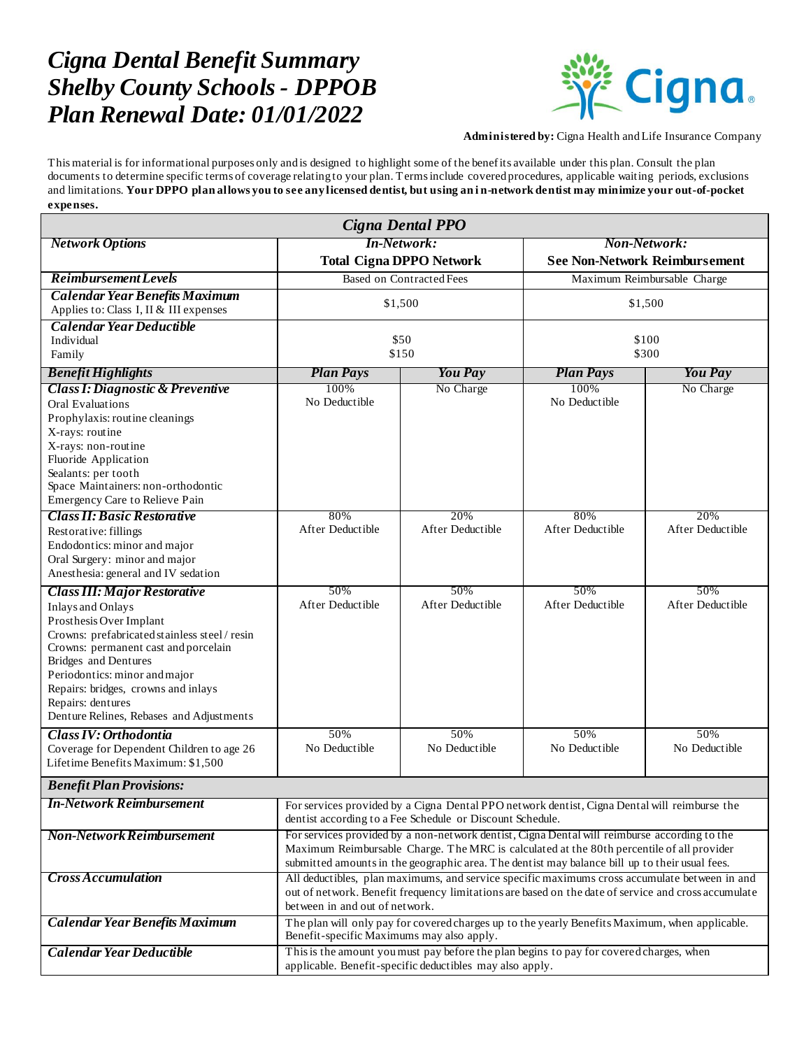## *Cigna Dental Benefit Summary Shelby County Schools - DPPOB Plan Renewal Date: 01/01/2022*



**Administered by:** Cigna Health and Life Insurance Company

This material is for informational purposes only and is designed to highlight some of the benefits available under this plan. Consult the plan documents to determine specific terms of coverage relating to your plan. Terms include covered procedures, applicable waiting periods, exclusions and limitations. **Your DPPO plan allows you to see any licensed dentist, but using an i n-network dentist may minimize your out-of-pocket expenses.**

| Cigna Dental PPO                                                                                                                                                                                                                                                                                                                                     |                                                                                                                                                                                                                                                                                             |                         |                                                             |                         |
|------------------------------------------------------------------------------------------------------------------------------------------------------------------------------------------------------------------------------------------------------------------------------------------------------------------------------------------------------|---------------------------------------------------------------------------------------------------------------------------------------------------------------------------------------------------------------------------------------------------------------------------------------------|-------------------------|-------------------------------------------------------------|-------------------------|
| <b>Network Options</b>                                                                                                                                                                                                                                                                                                                               | <b>In-Network:</b><br><b>Total Cigna DPPO Network</b>                                                                                                                                                                                                                                       |                         | <b>Non-Network:</b><br><b>See Non-Network Reimbursement</b> |                         |
| <b>Reimbursement Levels</b>                                                                                                                                                                                                                                                                                                                          | <b>Based on Contracted Fees</b>                                                                                                                                                                                                                                                             |                         | Maximum Reimbursable Charge                                 |                         |
| <b>Calendar Year Benefits Maximum</b><br>Applies to: Class I, II & III expenses                                                                                                                                                                                                                                                                      | \$1,500                                                                                                                                                                                                                                                                                     |                         | \$1,500                                                     |                         |
| <b>Calendar Year Deductible</b><br>Individual<br>Family                                                                                                                                                                                                                                                                                              | \$50<br>\$150                                                                                                                                                                                                                                                                               |                         | \$100<br>\$300                                              |                         |
| <b>Benefit Highlights</b>                                                                                                                                                                                                                                                                                                                            | <b>Plan Pays</b>                                                                                                                                                                                                                                                                            | <b>You Pay</b>          | <b>Plan Pays</b>                                            | <b>You Pay</b>          |
| <b>Class I: Diagnostic &amp; Preventive</b><br><b>Oral Evaluations</b><br>Prophylaxis: routine cleanings<br>X-rays: routine<br>X-rays: non-routine<br>Fluoride Application<br>Sealants: per tooth<br>Space Maintainers: non-orthodontic<br>Emergency Care to Relieve Pain                                                                            | 100%<br>No Deductible                                                                                                                                                                                                                                                                       | No Charge               | 100%<br>No Deductible                                       | No Charge               |
| <b>Class II: Basic Restorative</b><br>Restorative: fillings<br>Endodontics: minor and major<br>Oral Surgery: minor and major<br>Anesthesia: general and IV sedation                                                                                                                                                                                  | 80%<br>After Deductible                                                                                                                                                                                                                                                                     | 20%<br>After Deductible | 80%<br>After Deductible                                     | 20%<br>After Deductible |
| Class III: Major Restorative<br><b>Inlays and Onlays</b><br>Prosthesis Over Implant<br>Crowns: prefabricated stainless steel / resin<br>Crowns: permanent cast and porcelain<br><b>Bridges</b> and Dentures<br>Periodontics: minor and major<br>Repairs: bridges, crowns and inlays<br>Repairs: dentures<br>Denture Relines, Rebases and Adjustments | 50%<br>After Deductible                                                                                                                                                                                                                                                                     | 50%<br>After Deductible | 50%<br>After Deductible                                     | 50%<br>After Deductible |
| Class IV: Orthodontia<br>Coverage for Dependent Children to age 26<br>Lifetime Benefits Maximum: \$1,500                                                                                                                                                                                                                                             | 50%<br>No Deductible                                                                                                                                                                                                                                                                        | 50%<br>No Deductible    | 50%<br>No Deductible                                        | 50%<br>No Deductible    |
| <b>Benefit Plan Provisions:</b>                                                                                                                                                                                                                                                                                                                      |                                                                                                                                                                                                                                                                                             |                         |                                                             |                         |
| <b>In-Network Reimbursement</b>                                                                                                                                                                                                                                                                                                                      | For services provided by a Cigna Dental PPO network dentist, Cigna Dental will reimburse the<br>dentist according to a Fee Schedule or Discount Schedule.                                                                                                                                   |                         |                                                             |                         |
| <b>Non-Network Reimbursement</b>                                                                                                                                                                                                                                                                                                                     | For services provided by a non-network dentist, Cigna Dental will reimburse according to the<br>Maximum Reimbursable Charge. The MRC is calculated at the 80th percentile of all provider<br>submitted amounts in the geographic area. The dentist may balance bill up to their usual fees. |                         |                                                             |                         |
| <b>Cross Accumulation</b>                                                                                                                                                                                                                                                                                                                            | All deductibles, plan maximums, and service specific maximums cross accumulate between in and<br>out of network. Benefit frequency limitations are based on the date of service and cross accumulate<br>between in and out of network.                                                      |                         |                                                             |                         |
| <b>Calendar Year Benefits Maximum</b>                                                                                                                                                                                                                                                                                                                | The plan will only pay for covered charges up to the yearly Benefits Maximum, when applicable.<br>Benefit-specific Maximums may also apply.                                                                                                                                                 |                         |                                                             |                         |
| <b>Calendar Year Deductible</b>                                                                                                                                                                                                                                                                                                                      | This is the amount you must pay before the plan begins to pay for covered charges, when<br>applicable. Benefit-specific deductibles may also apply.                                                                                                                                         |                         |                                                             |                         |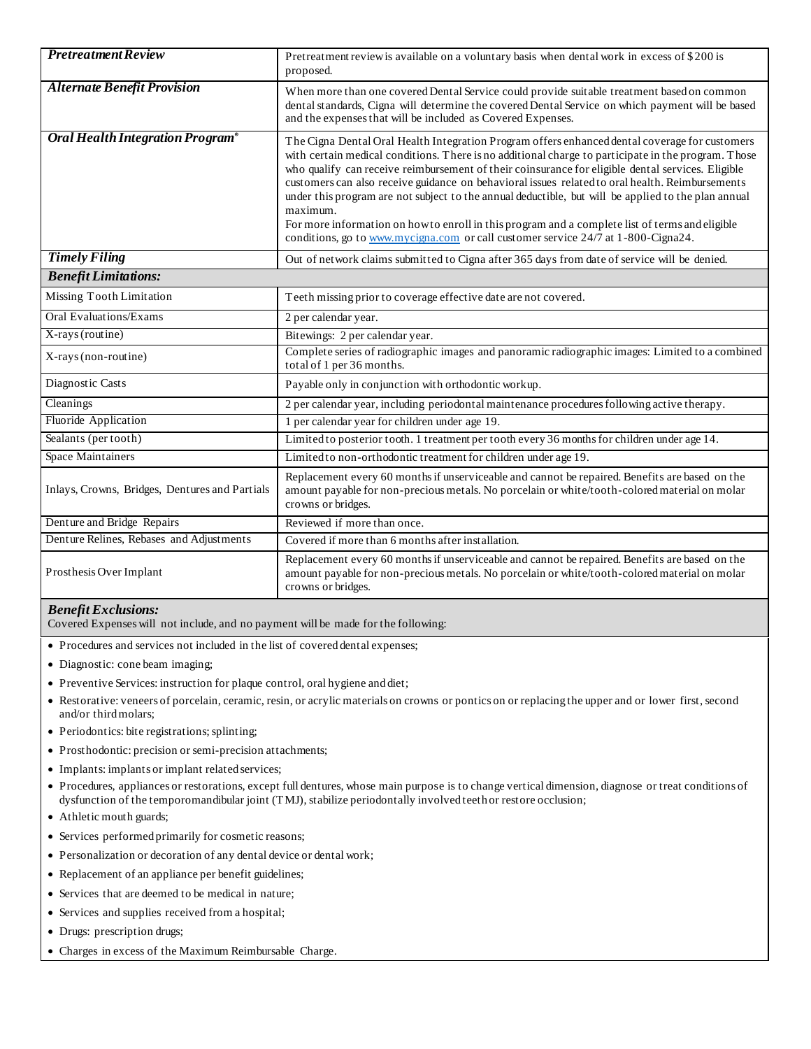| <b>Pretreatment Review</b>                     | Pretreatment review is available on a voluntary basis when dental work in excess of \$200 is<br>proposed.                                                                                                                                                                                                                                                                                                                                                                                                                                                                                                                                                                                                                |
|------------------------------------------------|--------------------------------------------------------------------------------------------------------------------------------------------------------------------------------------------------------------------------------------------------------------------------------------------------------------------------------------------------------------------------------------------------------------------------------------------------------------------------------------------------------------------------------------------------------------------------------------------------------------------------------------------------------------------------------------------------------------------------|
| <b>Alternate Benefit Provision</b>             | When more than one covered Dental Service could provide suitable treatment based on common<br>dental standards, Cigna will determine the covered Dental Service on which payment will be based<br>and the expenses that will be included as Covered Expenses.                                                                                                                                                                                                                                                                                                                                                                                                                                                            |
| Oral Health Integration Program®               | The Cigna Dental Oral Health Integration Program offers enhanced dental coverage for customers<br>with certain medical conditions. There is no additional charge to participate in the program. Those<br>who qualify can receive reimbursement of their coinsurance for eligible dental services. Eligible<br>customers can also receive guidance on behavioral issues related to oral health. Reimbursements<br>under this program are not subject to the annual deductible, but will be applied to the plan annual<br>maximum.<br>For more information on how to enroll in this program and a complete list of terms and eligible<br>conditions, go to www.mycigna.com or call customer service 24/7 at 1-800-Cigna24. |
| <b>Timely Filing</b>                           | Out of network claims submitted to Cigna after 365 days from date of service will be denied.                                                                                                                                                                                                                                                                                                                                                                                                                                                                                                                                                                                                                             |
| <b>Benefit Limitations:</b>                    |                                                                                                                                                                                                                                                                                                                                                                                                                                                                                                                                                                                                                                                                                                                          |
| Missing Tooth Limitation                       | Teeth missing prior to coverage effective date are not covered.                                                                                                                                                                                                                                                                                                                                                                                                                                                                                                                                                                                                                                                          |
| <b>Oral Evaluations/Exams</b>                  | 2 per calendar year.                                                                                                                                                                                                                                                                                                                                                                                                                                                                                                                                                                                                                                                                                                     |
| X-rays (routine)                               | Bitewings: 2 per calendar year.                                                                                                                                                                                                                                                                                                                                                                                                                                                                                                                                                                                                                                                                                          |
| X-rays (non-routine)                           | Complete series of radiographic images and panoramic radiographic images: Limited to a combined<br>total of 1 per 36 months.                                                                                                                                                                                                                                                                                                                                                                                                                                                                                                                                                                                             |
| Diagnostic Casts                               | Payable only in conjunction with orthodontic workup.                                                                                                                                                                                                                                                                                                                                                                                                                                                                                                                                                                                                                                                                     |
| Cleanings                                      | 2 per calendar year, including periodontal maintenance procedures following active therapy.                                                                                                                                                                                                                                                                                                                                                                                                                                                                                                                                                                                                                              |
| Fluoride Application                           | 1 per calendar year for children under age 19.                                                                                                                                                                                                                                                                                                                                                                                                                                                                                                                                                                                                                                                                           |
| Sealants (per tooth)                           | Limited to posterior tooth. 1 treatment per tooth every 36 months for children under age 14.                                                                                                                                                                                                                                                                                                                                                                                                                                                                                                                                                                                                                             |
| <b>Space Maintainers</b>                       | Limited to non-orthodontic treatment for children under age 19.                                                                                                                                                                                                                                                                                                                                                                                                                                                                                                                                                                                                                                                          |
| Inlays, Crowns, Bridges, Dentures and Partials | Replacement every 60 months if unserviceable and cannot be repaired. Benefits are based on the<br>amount payable for non-precious metals. No porcelain or white/tooth-colored material on molar<br>crowns or bridges.                                                                                                                                                                                                                                                                                                                                                                                                                                                                                                    |
| Denture and Bridge Repairs                     | Reviewed if more than once.                                                                                                                                                                                                                                                                                                                                                                                                                                                                                                                                                                                                                                                                                              |
| Denture Relines, Rebases and Adjustments       | Covered if more than 6 months after installation.                                                                                                                                                                                                                                                                                                                                                                                                                                                                                                                                                                                                                                                                        |
| Prosthesis Over Implant                        | Replacement every 60 months if unserviceable and cannot be repaired. Benefits are based on the<br>amount payable for non-precious metals. No porcelain or white/tooth-colored material on molar<br>crowns or bridges.                                                                                                                                                                                                                                                                                                                                                                                                                                                                                                    |

## *Benefit Exclusions:*

Covered Expenses will not include, and no payment will be made for the following:

Procedures and services not included in the list of covered dental expenses;

- Diagnostic: cone beam imaging;
- Preventive Services: instruction for plaque control, oral hygiene and diet;
- Restorative: veneers of porcelain, ceramic, resin, or acrylic materials on crowns or pontics on or replacing the upper and or lower first, second and/or third molars;
- Periodontics: bite registrations; splinting;
- Prosthodontic: precision or semi-precision attachments;
- Implants: implants or implant related services;
- Procedures, appliances or restorations, except full dentures, whose main purpose is to change vertical dimension, diagnose or treat conditions of dysfunction of the temporomandibular joint (TMJ), stabilize periodontally involved teeth or restore occlusion;
- Athletic mouth guards;
- Services performed primarily for cosmetic reasons;
- Personalization or decoration of any dental device or dental work;
- Replacement of an appliance per benefit guidelines;
- Services that are deemed to be medical in nature;
- Services and supplies received from a hospital;
- Drugs: prescription drugs;
- Charges in excess of the Maximum Reimbursable Charge.